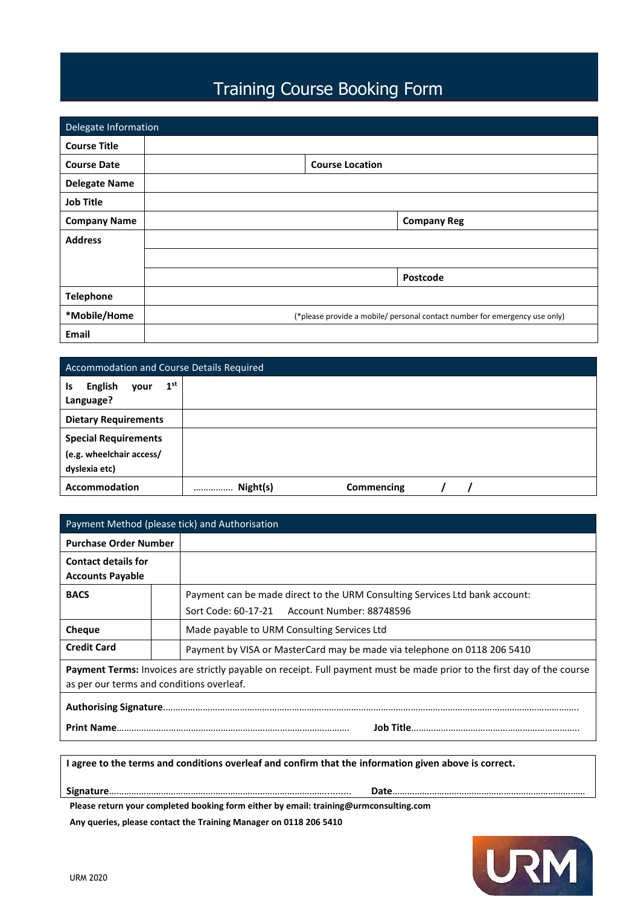# Training Course Booking Form

| Delegate Information |                                                                            |                    |
|----------------------|----------------------------------------------------------------------------|--------------------|
| <b>Course Title</b>  |                                                                            |                    |
| <b>Course Date</b>   | <b>Course Location</b>                                                     |                    |
| <b>Delegate Name</b> |                                                                            |                    |
| <b>Job Title</b>     |                                                                            |                    |
| <b>Company Name</b>  |                                                                            | <b>Company Reg</b> |
| <b>Address</b>       |                                                                            |                    |
|                      |                                                                            |                    |
|                      |                                                                            | Postcode           |
| <b>Telephone</b>     |                                                                            |                    |
| *Mobile/Home         | (*please provide a mobile/ personal contact number for emergency use only) |                    |
| Email                |                                                                            |                    |

| Accommodation and Course Details Required               |                   |                   |  |  |  |
|---------------------------------------------------------|-------------------|-------------------|--|--|--|
| 1 <sup>st</sup><br>English<br>Is<br>vour<br>Language?   |                   |                   |  |  |  |
| <b>Dietary Requirements</b>                             |                   |                   |  |  |  |
| <b>Special Requirements</b><br>(e.g. wheelchair access/ |                   |                   |  |  |  |
| dyslexia etc)                                           |                   |                   |  |  |  |
| <b>Accommodation</b>                                    | $\ldots$ Night(s) | <b>Commencing</b> |  |  |  |

|                                                       |  | Payment Method (please tick) and Authorisation                                                                              |
|-------------------------------------------------------|--|-----------------------------------------------------------------------------------------------------------------------------|
| <b>Purchase Order Number</b>                          |  |                                                                                                                             |
| <b>Contact details for</b><br><b>Accounts Payable</b> |  |                                                                                                                             |
| <b>BACS</b>                                           |  | Payment can be made direct to the URM Consulting Services Ltd bank account:<br>Sort Code: 60-17-21 Account Number: 88748596 |
| Cheque                                                |  | Made payable to URM Consulting Services Ltd                                                                                 |
| <b>Credit Card</b>                                    |  | Payment by VISA or MasterCard may be made via telephone on 0118 206 5410                                                    |
| as per our terms and conditions overleaf.             |  | Payment Terms: Invoices are strictly payable on receipt. Full payment must be made prior to the first day of the course     |
|                                                       |  |                                                                                                                             |
|                                                       |  |                                                                                                                             |

**I agree to the terms and conditions overleaf and confirm that the information given above is correct.**

**Signature**…………………………………………………………………………….......... **Date**……………………………………………………………………

**Please return your completed booking form either by email: training@urmconsulting.com**

**Any queries, please contact the Training Manager on 0118 206 5410**